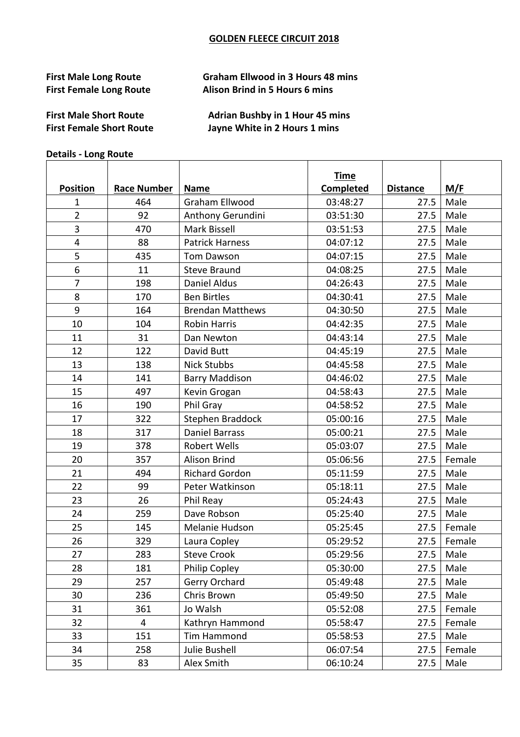## **GOLDEN FLEECE CIRCUIT 2018**

## **First Male Long Route Caham Ellwood in 3 Hours 48 mins First Female Long Route Alison Brind in 5 Hours 6 mins**

**First Female Short Route Contending State Short Route Contending State Short Route Contending State Short** 

**First Male Short Route Comparison Adrian Bushby in 1 Hour 45 mins** 

## **Details - Long Route**

|                 |                    |                         | <b>Time</b> |                 |             |
|-----------------|--------------------|-------------------------|-------------|-----------------|-------------|
| <b>Position</b> | <b>Race Number</b> | <b>Name</b>             | Completed   | <b>Distance</b> | M/F         |
| 1               | 464                | Graham Ellwood          | 03:48:27    | 27.5            | Male        |
| $\overline{2}$  | 92                 | Anthony Gerundini       | 03:51:30    | 27.5            | Male        |
| $\overline{3}$  | 470                | Mark Bissell            | 03:51:53    | 27.5            | Male        |
| $\overline{4}$  | 88                 | <b>Patrick Harness</b>  | 04:07:12    | 27.5            | Male        |
| 5               | 435                | <b>Tom Dawson</b>       | 04:07:15    | 27.5            | Male        |
| 6               | 11                 | <b>Steve Braund</b>     | 04:08:25    | 27.5            | Male        |
| $\overline{7}$  | 198                | <b>Daniel Aldus</b>     | 04:26:43    | 27.5            | Male        |
| 8               | 170                | <b>Ben Birtles</b>      | 04:30:41    | 27.5            | Male        |
| 9               | 164                | <b>Brendan Matthews</b> | 04:30:50    | 27.5            | Male        |
| 10              | 104                | <b>Robin Harris</b>     | 04:42:35    | 27.5            | Male        |
| 11              | 31                 | Dan Newton              | 04:43:14    | 27.5            | Male        |
| 12              | 122                | David Butt              | 04:45:19    | 27.5            | Male        |
| 13              | 138                | <b>Nick Stubbs</b>      | 04:45:58    | 27.5            | Male        |
| 14              | 141                | <b>Barry Maddison</b>   | 04:46:02    | 27.5            | Male        |
| 15              | 497                | Kevin Grogan            | 04:58:43    | 27.5            | Male        |
| 16              | 190                | Phil Gray               | 04:58:52    | 27.5            | Male        |
| 17              | 322                | Stephen Braddock        | 05:00:16    | 27.5            | Male        |
| 18              | 317                | <b>Daniel Barrass</b>   | 05:00:21    | 27.5            | Male        |
| 19              | 378                | Robert Wells            | 05:03:07    | 27.5            | Male        |
| 20              | 357                | <b>Alison Brind</b>     | 05:06:56    | 27.5            | Female      |
| 21              | 494                | <b>Richard Gordon</b>   | 05:11:59    | 27.5            | Male        |
| 22              | 99                 | Peter Watkinson         | 05:18:11    | 27.5            | Male        |
| 23              | 26                 | Phil Reay               | 05:24:43    | 27.5            | Male        |
| 24              | 259                | Dave Robson             | 05:25:40    | 27.5            | Male        |
| 25              | 145                | Melanie Hudson          | 05:25:45    | 27.5            | Female      |
| 26              | 329                | Laura Copley            | 05:29:52    | 27.5            | Female      |
| 27              | 283                | <b>Steve Crook</b>      | 05:29:56    |                 | 27.5   Male |
| 28              | 181                | <b>Philip Copley</b>    | 05:30:00    | 27.5            | Male        |
| 29              | 257                | Gerry Orchard           | 05:49:48    | 27.5            | Male        |
| 30              | 236                | Chris Brown             | 05:49:50    | 27.5            | Male        |
| 31              | 361                | Jo Walsh                | 05:52:08    | 27.5            | Female      |
| 32              | 4                  | Kathryn Hammond         | 05:58:47    | 27.5            | Female      |
| 33              | 151                | <b>Tim Hammond</b>      | 05:58:53    | 27.5            | Male        |
| 34              | 258                | Julie Bushell           | 06:07:54    | 27.5            | Female      |
| 35              | 83                 | Alex Smith              | 06:10:24    | 27.5            | Male        |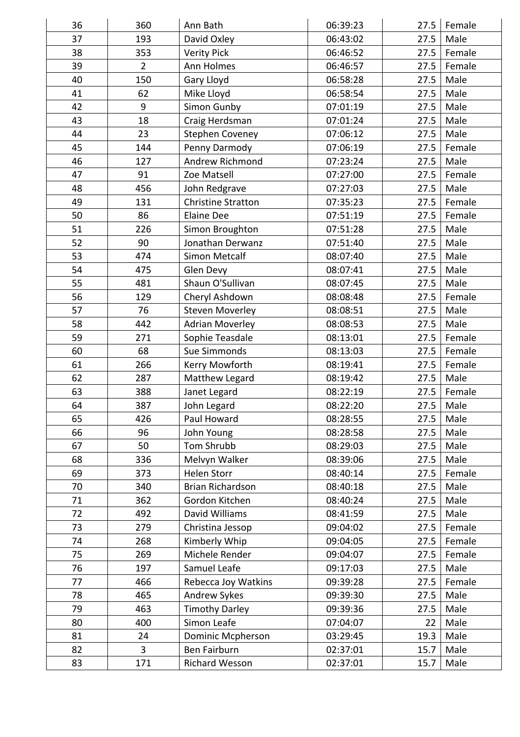| 36 | 360            | Ann Bath                  | 06:39:23 | 27.5 | Female |
|----|----------------|---------------------------|----------|------|--------|
| 37 | 193            | David Oxley               | 06:43:02 | 27.5 | Male   |
| 38 | 353            | <b>Verity Pick</b>        | 06:46:52 | 27.5 | Female |
| 39 | $\overline{2}$ | Ann Holmes                | 06:46:57 | 27.5 | Female |
| 40 | 150            | Gary Lloyd                | 06:58:28 | 27.5 | Male   |
| 41 | 62             | Mike Lloyd                | 06:58:54 | 27.5 | Male   |
| 42 | 9              | Simon Gunby               | 07:01:19 | 27.5 | Male   |
| 43 | 18             | Craig Herdsman            | 07:01:24 | 27.5 | Male   |
| 44 | 23             | <b>Stephen Coveney</b>    | 07:06:12 | 27.5 | Male   |
| 45 | 144            | Penny Darmody             | 07:06:19 | 27.5 | Female |
| 46 | 127            | Andrew Richmond           | 07:23:24 | 27.5 | Male   |
| 47 | 91             | Zoe Matsell               | 07:27:00 | 27.5 | Female |
| 48 | 456            | John Redgrave             | 07:27:03 | 27.5 | Male   |
| 49 | 131            | <b>Christine Stratton</b> | 07:35:23 | 27.5 | Female |
| 50 | 86             | <b>Elaine Dee</b>         | 07:51:19 | 27.5 | Female |
| 51 | 226            | Simon Broughton           | 07:51:28 | 27.5 | Male   |
| 52 | 90             | Jonathan Derwanz          | 07:51:40 | 27.5 | Male   |
| 53 | 474            | <b>Simon Metcalf</b>      | 08:07:40 | 27.5 | Male   |
| 54 | 475            | Glen Devy                 | 08:07:41 | 27.5 | Male   |
| 55 | 481            | Shaun O'Sullivan          | 08:07:45 | 27.5 | Male   |
| 56 | 129            | Cheryl Ashdown            | 08:08:48 | 27.5 | Female |
| 57 | 76             | <b>Steven Moverley</b>    | 08:08:51 | 27.5 | Male   |
| 58 | 442            | <b>Adrian Moverley</b>    | 08:08:53 | 27.5 | Male   |
| 59 | 271            | Sophie Teasdale           | 08:13:01 | 27.5 | Female |
| 60 | 68             | <b>Sue Simmonds</b>       | 08:13:03 | 27.5 | Female |
| 61 | 266            | Kerry Mowforth            | 08:19:41 | 27.5 | Female |
| 62 | 287            | Matthew Legard            | 08:19:42 | 27.5 | Male   |
| 63 | 388            | Janet Legard              | 08:22:19 | 27.5 | Female |
| 64 | 387            | John Legard               | 08:22:20 | 27.5 | Male   |
| 65 | 426            | Paul Howard               | 08:28:55 | 27.5 | Male   |
| 66 | 96             | John Young                | 08:28:58 | 27.5 | Male   |
| 67 | 50             | Tom Shrubb                | 08:29:03 | 27.5 | Male   |
| 68 | 336            | Melvyn Walker             | 08:39:06 | 27.5 | Male   |
| 69 | 373            | <b>Helen Storr</b>        | 08:40:14 | 27.5 | Female |
| 70 | 340            | <b>Brian Richardson</b>   | 08:40:18 | 27.5 | Male   |
| 71 | 362            | Gordon Kitchen            | 08:40:24 | 27.5 | Male   |
| 72 | 492            | David Williams            | 08:41:59 | 27.5 | Male   |
| 73 | 279            | Christina Jessop          | 09:04:02 | 27.5 | Female |
| 74 | 268            | Kimberly Whip             | 09:04:05 | 27.5 | Female |
| 75 | 269            | Michele Render            | 09:04:07 | 27.5 | Female |
| 76 | 197            | Samuel Leafe              | 09:17:03 | 27.5 | Male   |
| 77 | 466            | Rebecca Joy Watkins       | 09:39:28 | 27.5 | Female |
| 78 | 465            | Andrew Sykes              | 09:39:30 | 27.5 | Male   |
| 79 | 463            | <b>Timothy Darley</b>     | 09:39:36 | 27.5 | Male   |
| 80 | 400            | Simon Leafe               | 07:04:07 | 22   | Male   |
| 81 | 24             | Dominic Mcpherson         | 03:29:45 | 19.3 | Male   |
| 82 | 3              | Ben Fairburn              | 02:37:01 | 15.7 | Male   |
|    |                |                           |          |      |        |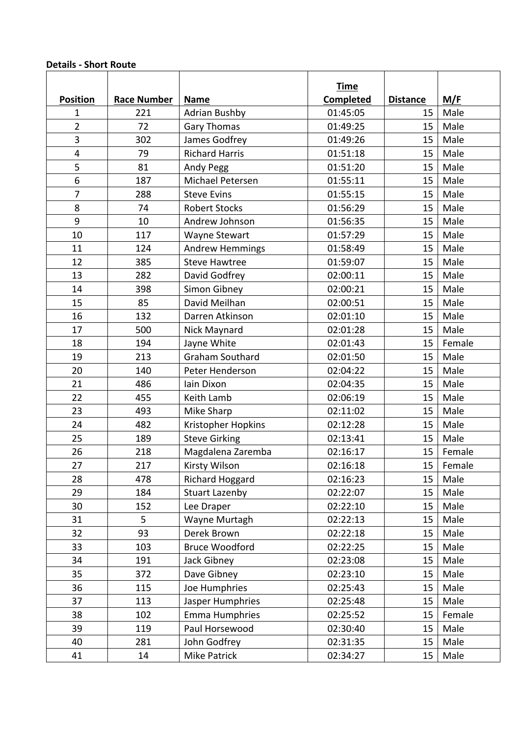## **Details - Short Route**

|                 |                    |                        | <b>Time</b>      |                 |        |
|-----------------|--------------------|------------------------|------------------|-----------------|--------|
| <b>Position</b> | <b>Race Number</b> | <b>Name</b>            | <b>Completed</b> | <b>Distance</b> | M/F    |
| 1               | 221                | <b>Adrian Bushby</b>   | 01:45:05         | 15              | Male   |
| $\overline{2}$  | 72                 | <b>Gary Thomas</b>     | 01:49:25         | 15              | Male   |
| 3               | 302                | James Godfrey          | 01:49:26         | 15              | Male   |
| 4               | 79                 | <b>Richard Harris</b>  | 01:51:18         | 15              | Male   |
| 5               | 81                 | Andy Pegg              | 01:51:20         | 15              | Male   |
| 6               | 187                | Michael Petersen       | 01:55:11         | 15              | Male   |
| $\overline{7}$  | 288                | <b>Steve Evins</b>     | 01:55:15         | 15              | Male   |
| 8               | 74                 | <b>Robert Stocks</b>   | 01:56:29         | 15              | Male   |
| 9               | 10                 | Andrew Johnson         | 01:56:35         | 15              | Male   |
| 10              | 117                | <b>Wayne Stewart</b>   | 01:57:29         | 15              | Male   |
| 11              | 124                | <b>Andrew Hemmings</b> | 01:58:49         | 15              | Male   |
| 12              | 385                | <b>Steve Hawtree</b>   | 01:59:07         | 15              | Male   |
| 13              | 282                | David Godfrey          | 02:00:11         | 15              | Male   |
| 14              | 398                | Simon Gibney           | 02:00:21         | 15              | Male   |
| 15              | 85                 | David Meilhan          | 02:00:51         | 15              | Male   |
| 16              | 132                | Darren Atkinson        | 02:01:10         | 15              | Male   |
| 17              | 500                | Nick Maynard           | 02:01:28         | 15              | Male   |
| 18              | 194                | Jayne White            | 02:01:43         | 15              | Female |
| 19              | 213                | <b>Graham Southard</b> | 02:01:50         | 15              | Male   |
| 20              | 140                | Peter Henderson        | 02:04:22         | 15              | Male   |
| 21              | 486                | lain Dixon             | 02:04:35         | 15              | Male   |
| 22              | 455                | Keith Lamb             | 02:06:19         | 15              | Male   |
| 23              | 493                | Mike Sharp             | 02:11:02         | 15              | Male   |
| 24              | 482                | Kristopher Hopkins     | 02:12:28         | 15              | Male   |
| 25              | 189                | <b>Steve Girking</b>   | 02:13:41         | 15              | Male   |
| 26              | 218                | Magdalena Zaremba      | 02:16:17         | 15              | Female |
| 27              | 217                | Kirsty Wilson          | 02:16:18         | 15              | Female |
| 28              | 478                | Richard Hoggard        | 02:16:23         | 15              | Male   |
| 29              | 184                | <b>Stuart Lazenby</b>  | 02:22:07         | 15              | Male   |
| 30              | 152                | Lee Draper             | 02:22:10         | 15              | Male   |
| 31              | 5                  | Wayne Murtagh          | 02:22:13         | 15              | Male   |
| 32              | 93                 | Derek Brown            | 02:22:18         | 15              | Male   |
| 33              | 103                | <b>Bruce Woodford</b>  | 02:22:25         | 15              | Male   |
| 34              | 191                | Jack Gibney            | 02:23:08         | 15              | Male   |
| 35              | 372                | Dave Gibney            | 02:23:10         | 15              | Male   |
| 36              | 115                | Joe Humphries          | 02:25:43         | 15              | Male   |
| 37              | 113                | Jasper Humphries       | 02:25:48         | 15              | Male   |
| 38              | 102                | <b>Emma Humphries</b>  | 02:25:52         | 15              | Female |
| 39              | 119                | Paul Horsewood         | 02:30:40         | 15              | Male   |
| 40              | 281                | John Godfrey           | 02:31:35         | 15              | Male   |
| 41              | 14                 | Mike Patrick           | 02:34:27         | 15              | Male   |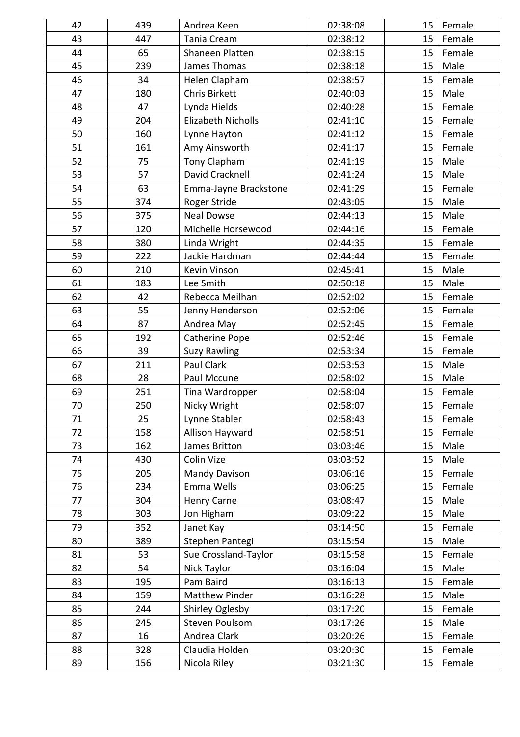| 42       | 439       | Andrea Keen                    | 02:38:08             | 15              | Female           |
|----------|-----------|--------------------------------|----------------------|-----------------|------------------|
| 43       | 447       | <b>Tania Cream</b>             | 02:38:12             | 15 <sub>1</sub> | Female           |
| 44       | 65        | Shaneen Platten                | 02:38:15             | 15 <sub>1</sub> | Female           |
| 45       | 239       | James Thomas                   | 02:38:18             | 15              | Male             |
| 46       | 34        | Helen Clapham                  | 02:38:57             | 15              | Female           |
| 47       | 180       | <b>Chris Birkett</b>           | 02:40:03             | 15              | Male             |
| 48       | 47        | Lynda Hields                   | 02:40:28             | 15 <sub>1</sub> | Female           |
| 49       | 204       | <b>Elizabeth Nicholls</b>      | 02:41:10             | 15              | Female           |
| 50       | 160       | Lynne Hayton                   | 02:41:12             | 15              | Female           |
| 51       | 161       | Amy Ainsworth                  | 02:41:17             | 15              | Female           |
| 52       | 75        | Tony Clapham                   | 02:41:19             | 15              | Male             |
| 53       | 57        | David Cracknell                | 02:41:24             | 15              | Male             |
| 54       | 63        | Emma-Jayne Brackstone          | 02:41:29             | 15              | Female           |
| 55       | 374       | Roger Stride                   | 02:43:05             | 15              | Male             |
| 56       | 375       | <b>Neal Dowse</b>              | 02:44:13             | 15              | Male             |
| 57       | 120       | Michelle Horsewood             | 02:44:16             | 15              | Female           |
| 58       | 380       | Linda Wright                   | 02:44:35             | 15              | Female           |
| 59       | 222       | Jackie Hardman                 | 02:44:44             | 15              | Female           |
| 60       | 210       | Kevin Vinson                   | 02:45:41             | 15              | Male             |
| 61       | 183       | Lee Smith                      | 02:50:18             | 15              | Male             |
| 62       | 42        | Rebecca Meilhan                | 02:52:02             | 15              | Female           |
| 63       | 55        | Jenny Henderson                | 02:52:06             | 15              | Female           |
| 64       | 87        | Andrea May                     | 02:52:45             | 15 <sub>1</sub> | Female           |
| 65       | 192       | <b>Catherine Pope</b>          | 02:52:46             | 15 <sub>1</sub> | Female           |
| 66       | 39        | <b>Suzy Rawling</b>            | 02:53:34             | 15              | Female           |
| 67       | 211       | Paul Clark                     | 02:53:53             | 15              | Male             |
| 68       | 28        | Paul Mccune                    | 02:58:02             | 15              | Male             |
| 69       | 251       | Tina Wardropper                | 02:58:04             | 15              | Female           |
| 70       | 250       | Nicky Wright                   | 02:58:07             | 15              | Female           |
| 71       | 25        | Lynne Stabler                  | 02:58:43             | 15              | Female           |
| 72       | 158       | Allison Hayward                | 02:58:51             | 15              | Female           |
| 73       | 162       | James Britton                  | 03:03:46             | 15              | Male             |
| 74       | 430       | Colin Vize                     | 03:03:52             | 15              | Male             |
| 75       | 205       | <b>Mandy Davison</b>           | 03:06:16             | 15              | Female           |
| 76       | 234       | Emma Wells                     | 03:06:25             | 15              | Female           |
| 77       | 304       | Henry Carne                    | 03:08:47             | 15              | Male             |
| 78       | 303       | Jon Higham                     | 03:09:22             | 15              | Male             |
| 79       | 352       | Janet Kay                      | 03:14:50             | 15              | Female           |
| 80       | 389       | Stephen Pantegi                | 03:15:54             | 15              | Male             |
| 81       | 53        | Sue Crossland-Taylor           | 03:15:58             | 15              | Female           |
|          | 54        | Nick Taylor                    | 03:16:04             | 15              | Male             |
| 82       |           | Pam Baird                      | 03:16:13             | 15              | Female           |
| 83       |           |                                |                      |                 |                  |
|          | 195       |                                |                      |                 |                  |
| 84       | 159       | <b>Matthew Pinder</b>          | 03:16:28             | 15              | Male             |
| 85       | 244       | Shirley Oglesby                | 03:17:20             | 15              | Female           |
| 86       | 245       | <b>Steven Poulsom</b>          | 03:17:26             | 15              | Male             |
| 87<br>88 | 16<br>328 | Andrea Clark<br>Claudia Holden | 03:20:26<br>03:20:30 | 15<br>15        | Female<br>Female |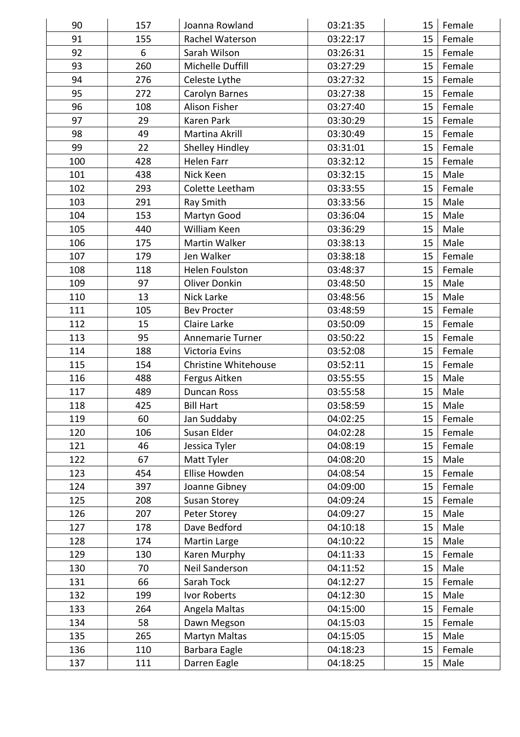| 90  | 157 | Joanna Rowland          | 03:21:35 | 15              | Female |
|-----|-----|-------------------------|----------|-----------------|--------|
| 91  | 155 | Rachel Waterson         | 03:22:17 | 15 <sub>1</sub> | Female |
| 92  | 6   | Sarah Wilson            | 03:26:31 | 15 <sub>1</sub> | Female |
| 93  | 260 | Michelle Duffill        | 03:27:29 | 15              | Female |
| 94  | 276 | Celeste Lythe           | 03:27:32 | 15 <sub>1</sub> | Female |
| 95  | 272 | <b>Carolyn Barnes</b>   | 03:27:38 | 15              | Female |
| 96  | 108 | Alison Fisher           | 03:27:40 | 15 <sub>1</sub> | Female |
| 97  | 29  | <b>Karen Park</b>       | 03:30:29 | 15              | Female |
| 98  | 49  | <b>Martina Akrill</b>   | 03:30:49 | 15              | Female |
| 99  | 22  |                         |          |                 |        |
|     |     | Shelley Hindley         | 03:31:01 | 15              | Female |
| 100 | 428 | <b>Helen Farr</b>       | 03:32:12 | 15              | Female |
| 101 | 438 | Nick Keen               | 03:32:15 | 15              | Male   |
| 102 | 293 | Colette Leetham         | 03:33:55 | 15              | Female |
| 103 | 291 | Ray Smith               | 03:33:56 | 15              | Male   |
| 104 | 153 | Martyn Good             | 03:36:04 | 15              | Male   |
| 105 | 440 | William Keen            | 03:36:29 | 15              | Male   |
| 106 | 175 | Martin Walker           | 03:38:13 | 15              | Male   |
| 107 | 179 | Jen Walker              | 03:38:18 | 15              | Female |
| 108 | 118 | <b>Helen Foulston</b>   | 03:48:37 | 15              | Female |
| 109 | 97  | <b>Oliver Donkin</b>    | 03:48:50 | 15              | Male   |
| 110 | 13  | Nick Larke              | 03:48:56 | 15              | Male   |
| 111 | 105 | <b>Bev Procter</b>      | 03:48:59 | 15              | Female |
| 112 | 15  | Claire Larke            | 03:50:09 | 15              | Female |
| 113 | 95  | <b>Annemarie Turner</b> | 03:50:22 | 15              | Female |
| 114 | 188 | <b>Victoria Evins</b>   | 03:52:08 | 15              | Female |
| 115 | 154 | Christine Whitehouse    | 03:52:11 | 15              | Female |
| 116 | 488 | Fergus Aitken           | 03:55:55 | 15              | Male   |
| 117 | 489 | <b>Duncan Ross</b>      | 03:55:58 | 15              | Male   |
| 118 | 425 | <b>Bill Hart</b>        | 03:58:59 | 15              | Male   |
| 119 | 60  | Jan Suddaby             | 04:02:25 | 15              | Female |
| 120 | 106 | Susan Elder             | 04:02:28 | 15              | Female |
| 121 | 46  | Jessica Tyler           | 04:08:19 | 15              | Female |
| 122 | 67  | Matt Tyler              | 04:08:20 | 15              | Male   |
| 123 | 454 | Ellise Howden           | 04:08:54 | 15              | Female |
| 124 | 397 | Joanne Gibney           | 04:09:00 | 15              | Female |
| 125 | 208 | Susan Storey            | 04:09:24 | 15              | Female |
| 126 | 207 | Peter Storey            | 04:09:27 | 15              | Male   |
| 127 | 178 | Dave Bedford            | 04:10:18 | 15              | Male   |
| 128 | 174 | Martin Large            | 04:10:22 | 15              | Male   |
| 129 | 130 | Karen Murphy            | 04:11:33 | 15              | Female |
| 130 | 70  | Neil Sanderson          | 04:11:52 | 15              | Male   |
| 131 | 66  | Sarah Tock              | 04:12:27 | 15              | Female |
| 132 | 199 | Ivor Roberts            | 04:12:30 | 15              | Male   |
| 133 | 264 | Angela Maltas           | 04:15:00 | 15              | Female |
| 134 | 58  | Dawn Megson             | 04:15:03 | 15              | Female |
| 135 | 265 | Martyn Maltas           | 04:15:05 | 15              | Male   |
| 136 | 110 | Barbara Eagle           | 04:18:23 | 15              | Female |
| 137 | 111 | Darren Eagle            | 04:18:25 | 15              | Male   |
|     |     |                         |          |                 |        |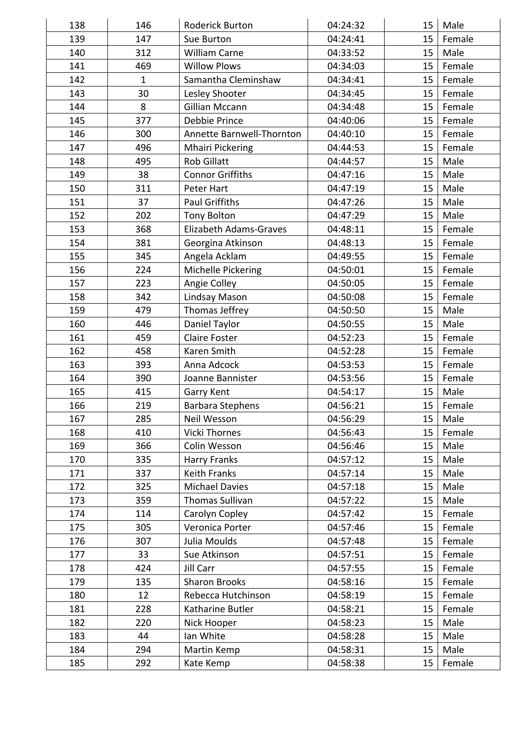| 138 | 146          | <b>Roderick Burton</b>        | 04:24:32 | 15     | Male   |
|-----|--------------|-------------------------------|----------|--------|--------|
| 139 | 147          | Sue Burton                    | 04:24:41 | 15     | Female |
| 140 | 312          | <b>William Carne</b>          | 04:33:52 | 15     | Male   |
| 141 | 469          | <b>Willow Plows</b>           | 04:34:03 | 15     | Female |
| 142 | $\mathbf{1}$ | Samantha Cleminshaw           | 04:34:41 | 15     | Female |
| 143 | 30           | Lesley Shooter                | 04:34:45 | 15     | Female |
| 144 | 8            | <b>Gillian Mccann</b>         | 04:34:48 | 15     | Female |
| 145 | 377          | Debbie Prince                 | 04:40:06 | 15     | Female |
| 146 | 300          | Annette Barnwell-Thornton     | 04:40:10 | 15     | Female |
| 147 | 496          | <b>Mhairi Pickering</b>       | 04:44:53 | 15     | Female |
| 148 | 495          | <b>Rob Gillatt</b>            | 04:44:57 | 15     | Male   |
| 149 | 38           | <b>Connor Griffiths</b>       | 04:47:16 | 15     | Male   |
| 150 | 311          | Peter Hart                    | 04:47:19 | 15     | Male   |
| 151 | 37           | <b>Paul Griffiths</b>         | 04:47:26 | 15     | Male   |
| 152 | 202          | <b>Tony Bolton</b>            | 04:47:29 | 15     | Male   |
| 153 | 368          | <b>Elizabeth Adams-Graves</b> | 04:48:11 | 15     | Female |
| 154 | 381          | Georgina Atkinson             | 04:48:13 | 15     | Female |
| 155 | 345          | Angela Acklam                 | 04:49:55 | 15     | Female |
| 156 | 224          | Michelle Pickering            | 04:50:01 | 15     | Female |
| 157 | 223          | Angie Colley                  | 04:50:05 | 15     | Female |
| 158 | 342          | Lindsay Mason                 | 04:50:08 | 15     | Female |
| 159 | 479          | Thomas Jeffrey                | 04:50:50 | 15     | Male   |
| 160 | 446          | Daniel Taylor                 | 04:50:55 | 15     | Male   |
| 161 | 459          | <b>Claire Foster</b>          | 04:52:23 | 15     | Female |
| 162 | 458          | Karen Smith                   | 04:52:28 | 15     | Female |
| 163 | 393          | Anna Adcock                   | 04:53:53 | 15     | Female |
| 164 | 390          | Joanne Bannister              | 04:53:56 | 15     | Female |
| 165 | 415          | Garry Kent                    | 04:54:17 | 15     | Male   |
| 166 | 219          | <b>Barbara Stephens</b>       | 04:56:21 | $15\,$ | Female |
| 167 | 285          | Neil Wesson                   | 04:56:29 | 15     | Male   |
| 168 | 410          | <b>Vicki Thornes</b>          | 04:56:43 | 15     | Female |
| 169 | 366          | Colin Wesson                  | 04:56:46 | 15     | Male   |
| 170 | 335          | <b>Harry Franks</b>           | 04:57:12 | 15     | Male   |
| 171 | 337          | <b>Keith Franks</b>           | 04:57:14 | 15     | Male   |
| 172 | 325          | <b>Michael Davies</b>         | 04:57:18 | 15     | Male   |
| 173 | 359          | Thomas Sullivan               | 04:57:22 | 15     | Male   |
| 174 | 114          | Carolyn Copley                | 04:57:42 | 15     | Female |
| 175 | 305          | Veronica Porter               | 04:57:46 | 15     | Female |
| 176 | 307          | Julia Moulds                  | 04:57:48 | 15     | Female |
| 177 | 33           | Sue Atkinson                  | 04:57:51 | 15     | Female |
| 178 | 424          | Jill Carr                     | 04:57:55 | 15     | Female |
| 179 | 135          | <b>Sharon Brooks</b>          | 04:58:16 | 15     | Female |
| 180 | 12           | Rebecca Hutchinson            | 04:58:19 | 15     | Female |
| 181 | 228          | Katharine Butler              | 04:58:21 | 15     | Female |
| 182 | 220          | Nick Hooper                   | 04:58:23 | 15     | Male   |
| 183 | 44           | Ian White                     | 04:58:28 | 15     | Male   |
| 184 | 294          | Martin Kemp                   | 04:58:31 | 15     | Male   |
|     |              |                               |          |        |        |